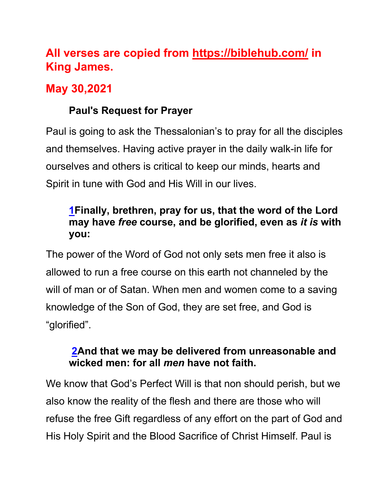# **All verses are copied from https://biblehub.com/ in King James.**

## **May 30,2021**

### **Paul's Request for Prayer**

Paul is going to ask the Thessalonian's to pray for all the disciples and themselves. Having active prayer in the daily walk-in life for ourselves and others is critical to keep our minds, hearts and Spirit in tune with God and His Will in our lives.

#### **1Finally, brethren, pray for us, that the word of the Lord may have** *free* **course, and be glorified, even as** *it is* **with you:**

The power of the Word of God not only sets men free it also is allowed to run a free course on this earth not channeled by the will of man or of Satan. When men and women come to a saving knowledge of the Son of God, they are set free, and God is "glorified".

#### **2And that we may be delivered from unreasonable and wicked men: for all** *men* **have not faith.**

We know that God's Perfect Will is that non should perish, but we also know the reality of the flesh and there are those who will refuse the free Gift regardless of any effort on the part of God and His Holy Spirit and the Blood Sacrifice of Christ Himself. Paul is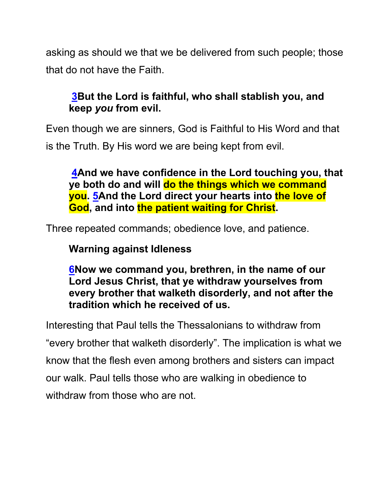asking as should we that we be delivered from such people; those that do not have the Faith.

#### **3But the Lord is faithful, who shall stablish you, and keep** *you* **from evil.**

Even though we are sinners, God is Faithful to His Word and that is the Truth. By His word we are being kept from evil.

**4And we have confidence in the Lord touching you, that ye both do and will do the things which we command you. 5And the Lord direct your hearts into the love of God, and into the patient waiting for Christ.**

Three repeated commands; obedience love, and patience.

**Warning against Idleness**

**6Now we command you, brethren, in the name of our Lord Jesus Christ, that ye withdraw yourselves from every brother that walketh disorderly, and not after the tradition which he received of us.**

Interesting that Paul tells the Thessalonians to withdraw from "every brother that walketh disorderly". The implication is what we know that the flesh even among brothers and sisters can impact our walk. Paul tells those who are walking in obedience to withdraw from those who are not.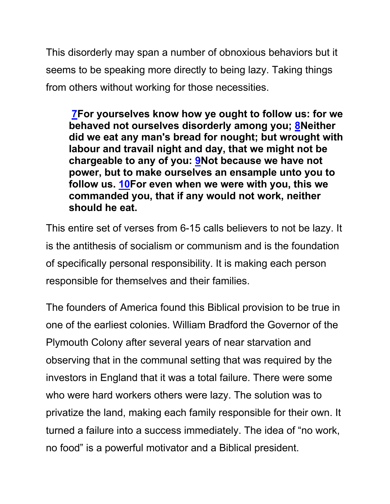This disorderly may span a number of obnoxious behaviors but it seems to be speaking more directly to being lazy. Taking things from others without working for those necessities.

**7For yourselves know how ye ought to follow us: for we behaved not ourselves disorderly among you; 8Neither did we eat any man's bread for nought; but wrought with labour and travail night and day, that we might not be chargeable to any of you: 9Not because we have not power, but to make ourselves an ensample unto you to follow us. 10For even when we were with you, this we commanded you, that if any would not work, neither should he eat.**

This entire set of verses from 6-15 calls believers to not be lazy. It is the antithesis of socialism or communism and is the foundation of specifically personal responsibility. It is making each person responsible for themselves and their families.

The founders of America found this Biblical provision to be true in one of the earliest colonies. William Bradford the Governor of the Plymouth Colony after several years of near starvation and observing that in the communal setting that was required by the investors in England that it was a total failure. There were some who were hard workers others were lazy. The solution was to privatize the land, making each family responsible for their own. It turned a failure into a success immediately. The idea of "no work, no food" is a powerful motivator and a Biblical president.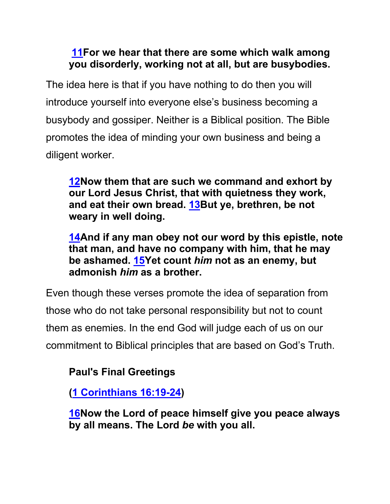#### **11For we hear that there are some which walk among you disorderly, working not at all, but are busybodies.**

The idea here is that if you have nothing to do then you will introduce yourself into everyone else's business becoming a busybody and gossiper. Neither is a Biblical position. The Bible promotes the idea of minding your own business and being a diligent worker.

**12Now them that are such we command and exhort by our Lord Jesus Christ, that with quietness they work, and eat their own bread. 13But ye, brethren, be not weary in well doing.**

**14And if any man obey not our word by this epistle, note that man, and have no company with him, that he may be ashamed. 15Yet count** *him* **not as an enemy, but admonish** *him* **as a brother.**

Even though these verses promote the idea of separation from those who do not take personal responsibility but not to count them as enemies. In the end God will judge each of us on our commitment to Biblical principles that are based on God's Truth.

### **Paul's Final Greetings**

**(1 Corinthians 16:19-24)**

**16Now the Lord of peace himself give you peace always by all means. The Lord** *be* **with you all.**